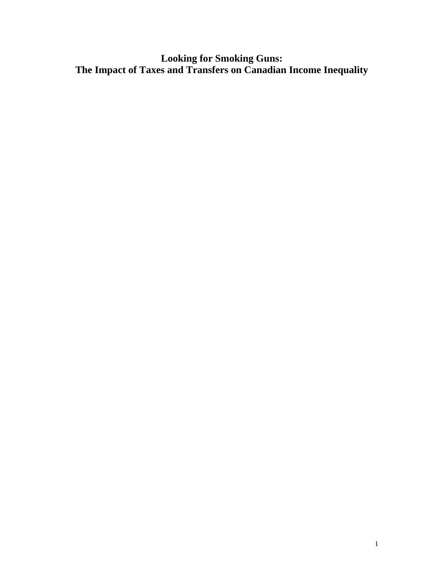**Looking for Smoking Guns: The Impact of Taxes and Transfers on Canadian Income Inequality**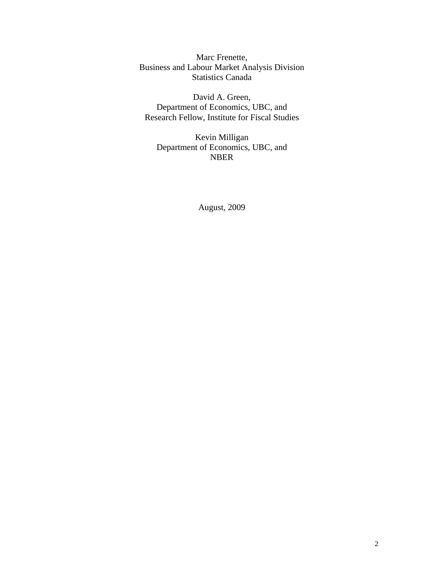Marc Frenette, Business and Labour Market Analysis Division Statistics Canada

David A. Green, Department of Economics, UBC, and Research Fellow, Institute for Fiscal Studies

Kevin Milligan Department of Economics, UBC, and NBER

August, 2009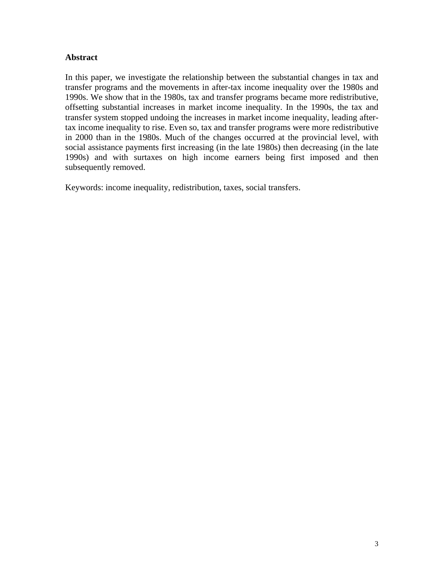# **Abstract**

In this paper, we investigate the relationship between the substantial changes in tax and transfer programs and the movements in after-tax income inequality over the 1980s and 1990s. We show that in the 1980s, tax and transfer programs became more redistributive, offsetting substantial increases in market income inequality. In the 1990s, the tax and transfer system stopped undoing the increases in market income inequality, leading aftertax income inequality to rise. Even so, tax and transfer programs were more redistributive in 2000 than in the 1980s. Much of the changes occurred at the provincial level, with social assistance payments first increasing (in the late 1980s) then decreasing (in the late 1990s) and with surtaxes on high income earners being first imposed and then subsequently removed.

Keywords: income inequality, redistribution, taxes, social transfers.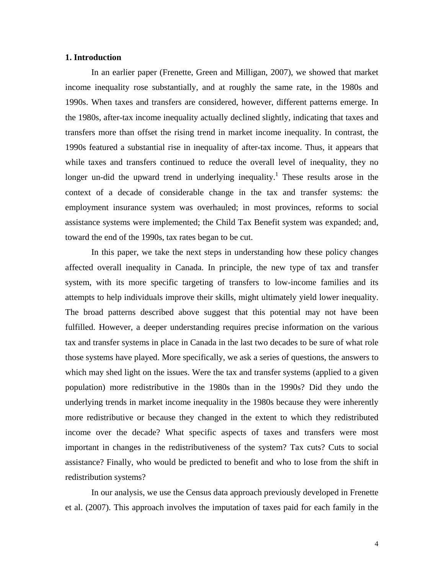## **1. Introduction**

In an earlier paper (Frenette, Green and Milligan, 2007), we showed that market income inequality rose substantially, and at roughly the same rate, in the 1980s and 1990s. When taxes and transfers are considered, however, different patterns emerge. In the 1980s, after-tax income inequality actually declined slightly, indicating that taxes and transfers more than offset the rising trend in market income inequality. In contrast, the 1990s featured a substantial rise in inequality of after-tax income. Thus, it appears that while taxes and transfers continued to reduce the overall level of inequality, they no longer un-did the upward trend in underlying inequality.<sup>1</sup> These results arose in the context of a decade of considerable change in the tax and transfer systems: the employment insurance system was overhauled; in most provinces, reforms to social assistance systems were implemented; the Child Tax Benefit system was expanded; and, toward the end of the 1990s, tax rates began to be cut.

In this paper, we take the next steps in understanding how these policy changes affected overall inequality in Canada. In principle, the new type of tax and transfer system, with its more specific targeting of transfers to low-income families and its attempts to help individuals improve their skills, might ultimately yield lower inequality. The broad patterns described above suggest that this potential may not have been fulfilled. However, a deeper understanding requires precise information on the various tax and transfer systems in place in Canada in the last two decades to be sure of what role those systems have played. More specifically, we ask a series of questions, the answers to which may shed light on the issues. Were the tax and transfer systems (applied to a given population) more redistributive in the 1980s than in the 1990s? Did they undo the underlying trends in market income inequality in the 1980s because they were inherently more redistributive or because they changed in the extent to which they redistributed income over the decade? What specific aspects of taxes and transfers were most important in changes in the redistributiveness of the system? Tax cuts? Cuts to social assistance? Finally, who would be predicted to benefit and who to lose from the shift in redistribution systems?

In our analysis, we use the Census data approach previously developed in Frenette et al. (2007). This approach involves the imputation of taxes paid for each family in the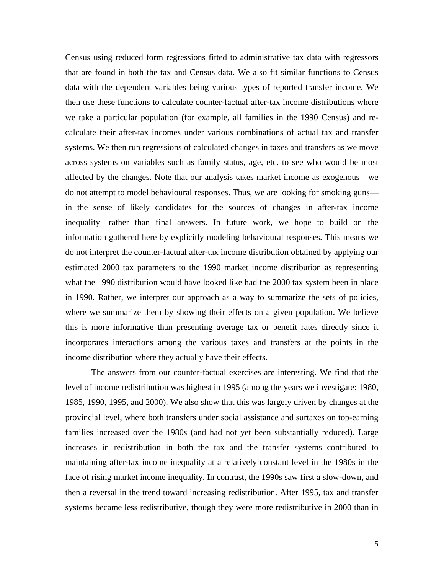Census using reduced form regressions fitted to administrative tax data with regressors that are found in both the tax and Census data. We also fit similar functions to Census data with the dependent variables being various types of reported transfer income. We then use these functions to calculate counter-factual after-tax income distributions where we take a particular population (for example, all families in the 1990 Census) and recalculate their after-tax incomes under various combinations of actual tax and transfer systems. We then run regressions of calculated changes in taxes and transfers as we move across systems on variables such as family status, age, etc. to see who would be most affected by the changes. Note that our analysis takes market income as exogenous—we do not attempt to model behavioural responses. Thus, we are looking for smoking guns in the sense of likely candidates for the sources of changes in after-tax income inequality—rather than final answers. In future work, we hope to build on the information gathered here by explicitly modeling behavioural responses. This means we do not interpret the counter-factual after-tax income distribution obtained by applying our estimated 2000 tax parameters to the 1990 market income distribution as representing what the 1990 distribution would have looked like had the 2000 tax system been in place in 1990. Rather, we interpret our approach as a way to summarize the sets of policies, where we summarize them by showing their effects on a given population. We believe this is more informative than presenting average tax or benefit rates directly since it incorporates interactions among the various taxes and transfers at the points in the income distribution where they actually have their effects.

 The answers from our counter-factual exercises are interesting. We find that the level of income redistribution was highest in 1995 (among the years we investigate: 1980, 1985, 1990, 1995, and 2000). We also show that this was largely driven by changes at the provincial level, where both transfers under social assistance and surtaxes on top-earning families increased over the 1980s (and had not yet been substantially reduced). Large increases in redistribution in both the tax and the transfer systems contributed to maintaining after-tax income inequality at a relatively constant level in the 1980s in the face of rising market income inequality. In contrast, the 1990s saw first a slow-down, and then a reversal in the trend toward increasing redistribution. After 1995, tax and transfer systems became less redistributive, though they were more redistributive in 2000 than in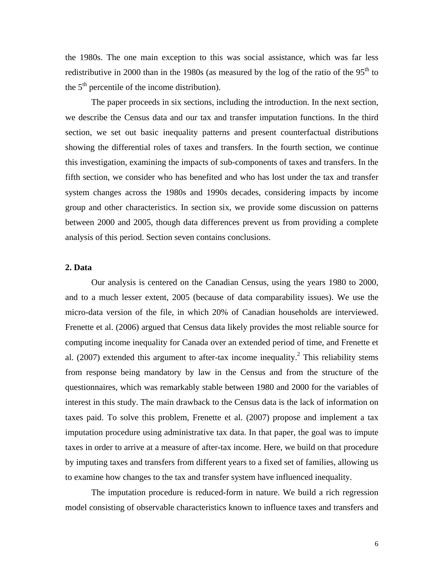the 1980s. The one main exception to this was social assistance, which was far less redistributive in 2000 than in the 1980s (as measured by the log of the ratio of the  $95<sup>th</sup>$  to the  $5<sup>th</sup>$  percentile of the income distribution).

 The paper proceeds in six sections, including the introduction. In the next section, we describe the Census data and our tax and transfer imputation functions. In the third section, we set out basic inequality patterns and present counterfactual distributions showing the differential roles of taxes and transfers. In the fourth section, we continue this investigation, examining the impacts of sub-components of taxes and transfers. In the fifth section, we consider who has benefited and who has lost under the tax and transfer system changes across the 1980s and 1990s decades, considering impacts by income group and other characteristics. In section six, we provide some discussion on patterns between 2000 and 2005, though data differences prevent us from providing a complete analysis of this period. Section seven contains conclusions.

# **2. Data**

Our analysis is centered on the Canadian Census, using the years 1980 to 2000, and to a much lesser extent, 2005 (because of data comparability issues). We use the micro-data version of the file, in which 20% of Canadian households are interviewed. Frenette et al. (2006) argued that Census data likely provides the most reliable source for computing income inequality for Canada over an extended period of time, and Frenette et al.  $(2007)$  extended this argument to after-tax income inequality.<sup>2</sup> This reliability stems from response being mandatory by law in the Census and from the structure of the questionnaires, which was remarkably stable between 1980 and 2000 for the variables of interest in this study. The main drawback to the Census data is the lack of information on taxes paid. To solve this problem, Frenette et al. (2007) propose and implement a tax imputation procedure using administrative tax data. In that paper, the goal was to impute taxes in order to arrive at a measure of after-tax income. Here, we build on that procedure by imputing taxes and transfers from different years to a fixed set of families, allowing us to examine how changes to the tax and transfer system have influenced inequality.

The imputation procedure is reduced-form in nature. We build a rich regression model consisting of observable characteristics known to influence taxes and transfers and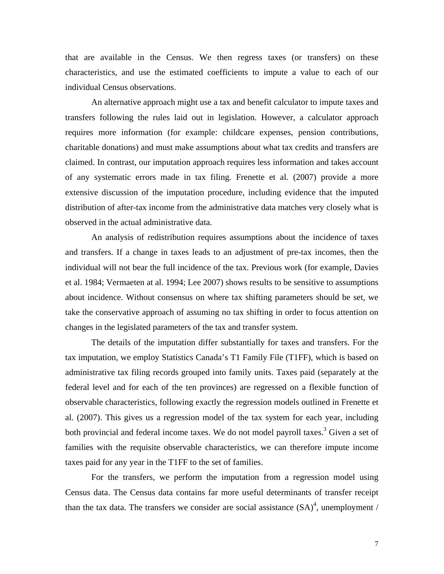that are available in the Census. We then regress taxes (or transfers) on these characteristics, and use the estimated coefficients to impute a value to each of our individual Census observations.

An alternative approach might use a tax and benefit calculator to impute taxes and transfers following the rules laid out in legislation. However, a calculator approach requires more information (for example: childcare expenses, pension contributions, charitable donations) and must make assumptions about what tax credits and transfers are claimed. In contrast, our imputation approach requires less information and takes account of any systematic errors made in tax filing. Frenette et al. (2007) provide a more extensive discussion of the imputation procedure, including evidence that the imputed distribution of after-tax income from the administrative data matches very closely what is observed in the actual administrative data.

An analysis of redistribution requires assumptions about the incidence of taxes and transfers. If a change in taxes leads to an adjustment of pre-tax incomes, then the individual will not bear the full incidence of the tax. Previous work (for example, Davies et al. 1984; Vermaeten at al. 1994; Lee 2007) shows results to be sensitive to assumptions about incidence. Without consensus on where tax shifting parameters should be set, we take the conservative approach of assuming no tax shifting in order to focus attention on changes in the legislated parameters of the tax and transfer system.

The details of the imputation differ substantially for taxes and transfers. For the tax imputation, we employ Statistics Canada's T1 Family File (T1FF), which is based on administrative tax filing records grouped into family units. Taxes paid (separately at the federal level and for each of the ten provinces) are regressed on a flexible function of observable characteristics, following exactly the regression models outlined in Frenette et al. (2007). This gives us a regression model of the tax system for each year, including both provincial and federal income taxes. We do not model payroll taxes.<sup>3</sup> Given a set of families with the requisite observable characteristics, we can therefore impute income taxes paid for any year in the T1FF to the set of families.

For the transfers, we perform the imputation from a regression model using Census data. The Census data contains far more useful determinants of transfer receipt than the tax data. The transfers we consider are social assistance  $(SA)^4$ , unemployment /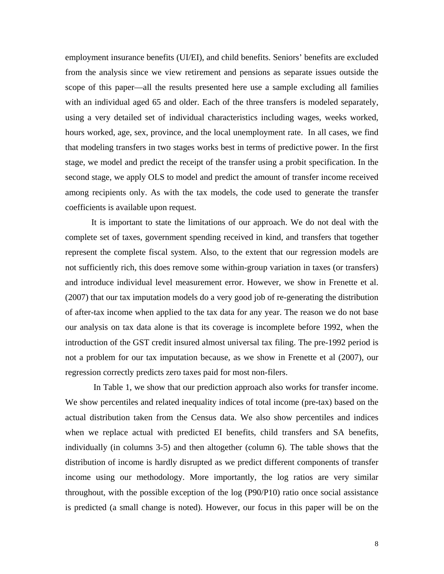employment insurance benefits (UI/EI), and child benefits. Seniors' benefits are excluded from the analysis since we view retirement and pensions as separate issues outside the scope of this paper—all the results presented here use a sample excluding all families with an individual aged 65 and older. Each of the three transfers is modeled separately, using a very detailed set of individual characteristics including wages, weeks worked, hours worked, age, sex, province, and the local unemployment rate. In all cases, we find that modeling transfers in two stages works best in terms of predictive power. In the first stage, we model and predict the receipt of the transfer using a probit specification. In the second stage, we apply OLS to model and predict the amount of transfer income received among recipients only. As with the tax models, the code used to generate the transfer coefficients is available upon request.

It is important to state the limitations of our approach. We do not deal with the complete set of taxes, government spending received in kind, and transfers that together represent the complete fiscal system. Also, to the extent that our regression models are not sufficiently rich, this does remove some within-group variation in taxes (or transfers) and introduce individual level measurement error. However, we show in Frenette et al. (2007) that our tax imputation models do a very good job of re-generating the distribution of after-tax income when applied to the tax data for any year. The reason we do not base our analysis on tax data alone is that its coverage is incomplete before 1992, when the introduction of the GST credit insured almost universal tax filing. The pre-1992 period is not a problem for our tax imputation because, as we show in Frenette et al (2007), our regression correctly predicts zero taxes paid for most non-filers.

 In Table 1, we show that our prediction approach also works for transfer income. We show percentiles and related inequality indices of total income (pre-tax) based on the actual distribution taken from the Census data. We also show percentiles and indices when we replace actual with predicted EI benefits, child transfers and SA benefits, individually (in columns 3-5) and then altogether (column 6). The table shows that the distribution of income is hardly disrupted as we predict different components of transfer income using our methodology. More importantly, the log ratios are very similar throughout, with the possible exception of the log (P90/P10) ratio once social assistance is predicted (a small change is noted). However, our focus in this paper will be on the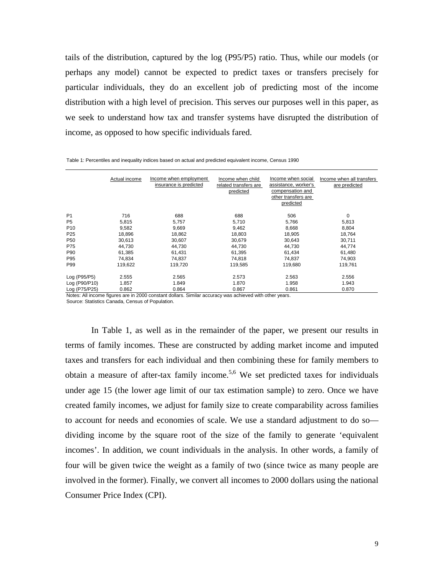tails of the distribution, captured by the log (P95/P5) ratio. Thus, while our models (or perhaps any model) cannot be expected to predict taxes or transfers precisely for particular individuals, they do an excellent job of predicting most of the income distribution with a high level of precision. This serves our purposes well in this paper, as we seek to understand how tax and transfer systems have disrupted the distribution of income, as opposed to how specific individuals fared.

|                 | Actual income | Income when employment<br>insurance is predicted | Income when child<br>related transfers are<br>predicted | Income when social<br>assistance, worker's<br>compensation and<br>other transfers are<br>predicted | Income when all transfers<br>are predicted |
|-----------------|---------------|--------------------------------------------------|---------------------------------------------------------|----------------------------------------------------------------------------------------------------|--------------------------------------------|
| P <sub>1</sub>  | 716           | 688                                              | 688                                                     | 506                                                                                                | 0                                          |
| P <sub>5</sub>  | 5,815         | 5,757                                            | 5,710                                                   | 5,766                                                                                              | 5,813                                      |
| P <sub>10</sub> | 9,582         | 9,669                                            | 9,462                                                   | 8,668                                                                                              | 8,804                                      |
| P <sub>25</sub> | 18,896        | 18,862                                           | 18,803                                                  | 18,905                                                                                             | 18,764                                     |
| P <sub>50</sub> | 30,613        | 30,607                                           | 30,679                                                  | 30,643                                                                                             | 30,711                                     |
| P75             | 44,730        | 44,730                                           | 44,730                                                  | 44,730                                                                                             | 44,774                                     |
| P90             | 61.385        | 61.431                                           | 61,395                                                  | 61,434                                                                                             | 61,480                                     |
| P95             | 74,834        | 74,837                                           | 74,818                                                  | 74,837                                                                                             | 74,903                                     |
| P99             | 119,622       | 119,720                                          | 119,585                                                 | 119,680                                                                                            | 119,761                                    |
| Log (P95/P5)    | 2.555         | 2.565                                            | 2.573                                                   | 2.563                                                                                              | 2.556                                      |
| Log (P90/P10)   | 1.857         | 1.849                                            | 1.870                                                   | 1.958                                                                                              | 1.943                                      |
| Log (P75/P25)   | 0.862         | 0.864                                            | 0.867                                                   | 0.861                                                                                              | 0.870                                      |

Table 1: Percentiles and inequality indices based on actual and predicted equivalent income, Census 1990

Source: Statistics Canada, Census of Population. Notes: All income figures are in 2000 constant dollars. Similar accuracy was achieved with other years.

In Table 1, as well as in the remainder of the paper, we present our results in terms of family incomes. These are constructed by adding market income and imputed taxes and transfers for each individual and then combining these for family members to obtain a measure of after-tax family income.<sup>5,6</sup> We set predicted taxes for individuals under age 15 (the lower age limit of our tax estimation sample) to zero. Once we have created family incomes, we adjust for family size to create comparability across families to account for needs and economies of scale. We use a standard adjustment to do so dividing income by the square root of the size of the family to generate 'equivalent incomes'. In addition, we count individuals in the analysis. In other words, a family of four will be given twice the weight as a family of two (since twice as many people are involved in the former). Finally, we convert all incomes to 2000 dollars using the national Consumer Price Index (CPI).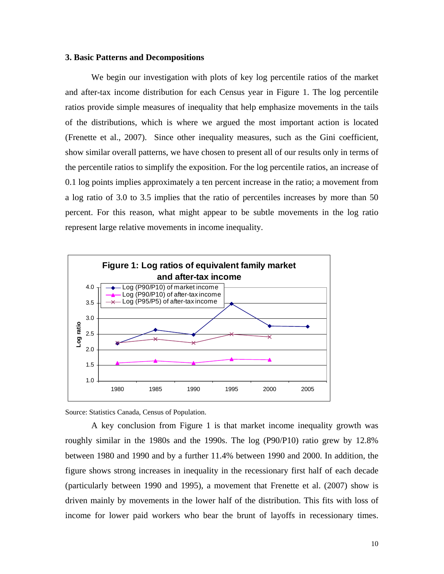## **3. Basic Patterns and Decompositions**

We begin our investigation with plots of key log percentile ratios of the market and after-tax income distribution for each Census year in Figure 1. The log percentile ratios provide simple measures of inequality that help emphasize movements in the tails of the distributions, which is where we argued the most important action is located (Frenette et al., 2007). Since other inequality measures, such as the Gini coefficient, show similar overall patterns, we have chosen to present all of our results only in terms of the percentile ratios to simplify the exposition. For the log percentile ratios, an increase of 0.1 log points implies approximately a ten percent increase in the ratio; a movement from a log ratio of 3.0 to 3.5 implies that the ratio of percentiles increases by more than 50 percent. For this reason, what might appear to be subtle movements in the log ratio represent large relative movements in income inequality.



Source: Statistics Canada, Census of Population.

A key conclusion from Figure 1 is that market income inequality growth was roughly similar in the 1980s and the 1990s. The log (P90/P10) ratio grew by 12.8% between 1980 and 1990 and by a further 11.4% between 1990 and 2000. In addition, the figure shows strong increases in inequality in the recessionary first half of each decade (particularly between 1990 and 1995), a movement that Frenette et al. (2007) show is driven mainly by movements in the lower half of the distribution. This fits with loss of income for lower paid workers who bear the brunt of layoffs in recessionary times.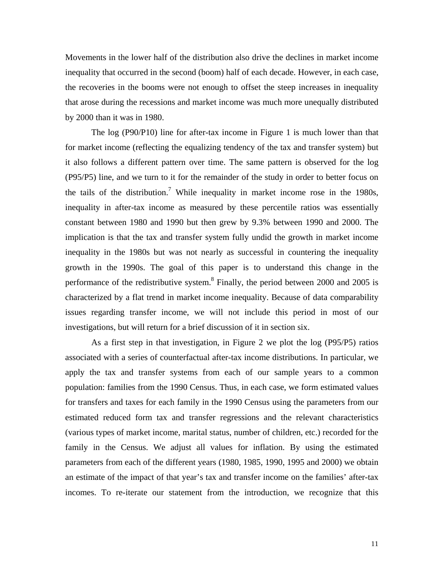Movements in the lower half of the distribution also drive the declines in market income inequality that occurred in the second (boom) half of each decade. However, in each case, the recoveries in the booms were not enough to offset the steep increases in inequality that arose during the recessions and market income was much more unequally distributed by 2000 than it was in 1980.

The log (P90/P10) line for after-tax income in Figure 1 is much lower than that for market income (reflecting the equalizing tendency of the tax and transfer system) but it also follows a different pattern over time. The same pattern is observed for the log (P95/P5) line, and we turn to it for the remainder of the study in order to better focus on the tails of the distribution.<sup>7</sup> While inequality in market income rose in the 1980s, inequality in after-tax income as measured by these percentile ratios was essentially constant between 1980 and 1990 but then grew by 9.3% between 1990 and 2000. The implication is that the tax and transfer system fully undid the growth in market income inequality in the 1980s but was not nearly as successful in countering the inequality growth in the 1990s. The goal of this paper is to understand this change in the performance of the redistributive system.<sup>8</sup> Finally, the period between 2000 and 2005 is characterized by a flat trend in market income inequality. Because of data comparability issues regarding transfer income, we will not include this period in most of our investigations, but will return for a brief discussion of it in section six.

As a first step in that investigation, in Figure 2 we plot the log (P95/P5) ratios associated with a series of counterfactual after-tax income distributions. In particular, we apply the tax and transfer systems from each of our sample years to a common population: families from the 1990 Census. Thus, in each case, we form estimated values for transfers and taxes for each family in the 1990 Census using the parameters from our estimated reduced form tax and transfer regressions and the relevant characteristics (various types of market income, marital status, number of children, etc.) recorded for the family in the Census. We adjust all values for inflation. By using the estimated parameters from each of the different years (1980, 1985, 1990, 1995 and 2000) we obtain an estimate of the impact of that year's tax and transfer income on the families' after-tax incomes. To re-iterate our statement from the introduction, we recognize that this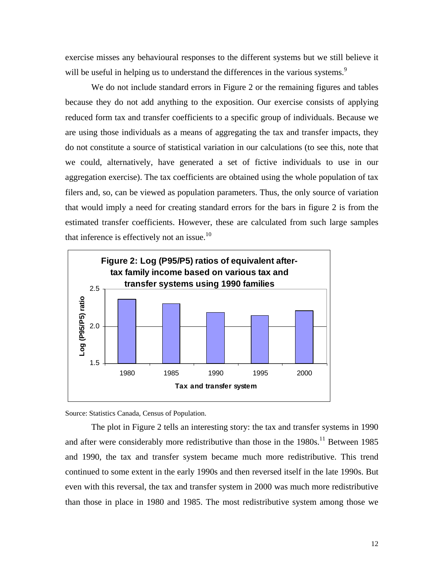exercise misses any behavioural responses to the different systems but we still believe it will be useful in helping us to understand the differences in the various systems.<sup>9</sup>

We do not include standard errors in Figure 2 or the remaining figures and tables because they do not add anything to the exposition. Our exercise consists of applying reduced form tax and transfer coefficients to a specific group of individuals. Because we are using those individuals as a means of aggregating the tax and transfer impacts, they do not constitute a source of statistical variation in our calculations (to see this, note that we could, alternatively, have generated a set of fictive individuals to use in our aggregation exercise). The tax coefficients are obtained using the whole population of tax filers and, so, can be viewed as population parameters. Thus, the only source of variation that would imply a need for creating standard errors for the bars in figure 2 is from the estimated transfer coefficients. However, these are calculated from such large samples that inference is effectively not an issue. $10$ 



Source: Statistics Canada, Census of Population.

The plot in Figure 2 tells an interesting story: the tax and transfer systems in 1990 and after were considerably more redistributive than those in the  $1980s$ .<sup>11</sup> Between 1985 and 1990, the tax and transfer system became much more redistributive. This trend continued to some extent in the early 1990s and then reversed itself in the late 1990s. But even with this reversal, the tax and transfer system in 2000 was much more redistributive than those in place in 1980 and 1985. The most redistributive system among those we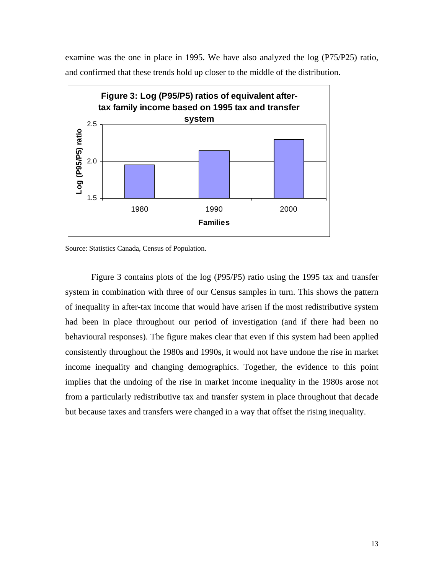examine was the one in place in 1995. We have also analyzed the log (P75/P25) ratio, and confirmed that these trends hold up closer to the middle of the distribution.



Source: Statistics Canada, Census of Population.

Figure 3 contains plots of the log (P95/P5) ratio using the 1995 tax and transfer system in combination with three of our Census samples in turn. This shows the pattern of inequality in after-tax income that would have arisen if the most redistributive system had been in place throughout our period of investigation (and if there had been no behavioural responses). The figure makes clear that even if this system had been applied consistently throughout the 1980s and 1990s, it would not have undone the rise in market income inequality and changing demographics. Together, the evidence to this point implies that the undoing of the rise in market income inequality in the 1980s arose not from a particularly redistributive tax and transfer system in place throughout that decade but because taxes and transfers were changed in a way that offset the rising inequality.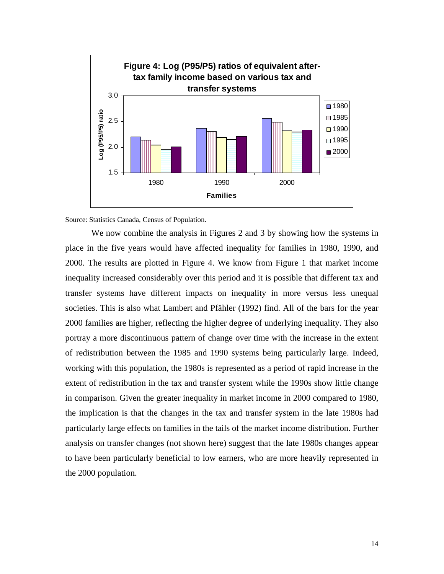

Source: Statistics Canada, Census of Population.

We now combine the analysis in Figures 2 and 3 by showing how the systems in place in the five years would have affected inequality for families in 1980, 1990, and 2000. The results are plotted in Figure 4. We know from Figure 1 that market income inequality increased considerably over this period and it is possible that different tax and transfer systems have different impacts on inequality in more versus less unequal societies. This is also what Lambert and Pfähler (1992) find. All of the bars for the year 2000 families are higher, reflecting the higher degree of underlying inequality. They also portray a more discontinuous pattern of change over time with the increase in the extent of redistribution between the 1985 and 1990 systems being particularly large. Indeed, working with this population, the 1980s is represented as a period of rapid increase in the extent of redistribution in the tax and transfer system while the 1990s show little change in comparison. Given the greater inequality in market income in 2000 compared to 1980, the implication is that the changes in the tax and transfer system in the late 1980s had particularly large effects on families in the tails of the market income distribution. Further analysis on transfer changes (not shown here) suggest that the late 1980s changes appear to have been particularly beneficial to low earners, who are more heavily represented in the 2000 population.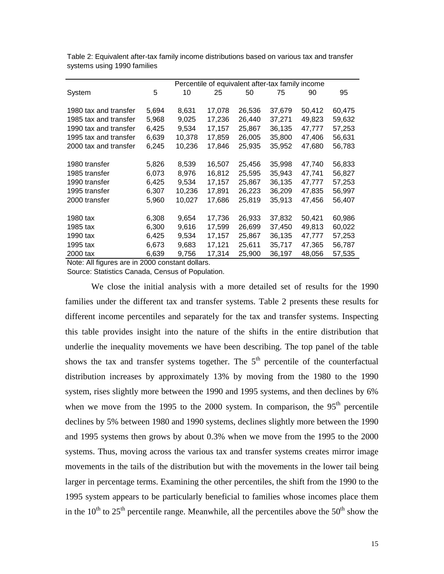|                       |       | Percentile of equivalent after-tax family income |        |        |        |        |        |
|-----------------------|-------|--------------------------------------------------|--------|--------|--------|--------|--------|
| System                | 5     | 10                                               | 25     | 50     | 75     | 90     | 95     |
|                       |       |                                                  |        |        |        |        |        |
| 1980 tax and transfer | 5,694 | 8,631                                            | 17,078 | 26,536 | 37,679 | 50,412 | 60,475 |
| 1985 tax and transfer | 5,968 | 9,025                                            | 17,236 | 26,440 | 37,271 | 49,823 | 59,632 |
| 1990 tax and transfer | 6,425 | 9,534                                            | 17,157 | 25,867 | 36,135 | 47,777 | 57,253 |
| 1995 tax and transfer | 6,639 | 10,378                                           | 17,859 | 26,005 | 35,800 | 47,406 | 56,631 |
| 2000 tax and transfer | 6,245 | 10,236                                           | 17,846 | 25,935 | 35,952 | 47,680 | 56,783 |
|                       |       |                                                  |        |        |        |        |        |
| 1980 transfer         | 5,826 | 8,539                                            | 16,507 | 25,456 | 35,998 | 47,740 | 56,833 |
| 1985 transfer         | 6,073 | 8,976                                            | 16,812 | 25,595 | 35,943 | 47,741 | 56,827 |
| 1990 transfer         | 6,425 | 9,534                                            | 17,157 | 25,867 | 36,135 | 47,777 | 57,253 |
| 1995 transfer         | 6,307 | 10,236                                           | 17,891 | 26,223 | 36,209 | 47,835 | 56,997 |
| 2000 transfer         | 5,960 | 10,027                                           | 17,686 | 25,819 | 35,913 | 47,456 | 56,407 |
|                       |       |                                                  |        |        |        |        |        |
| 1980 tax              | 6,308 | 9,654                                            | 17,736 | 26,933 | 37,832 | 50,421 | 60,986 |
| 1985 tax              | 6,300 | 9,616                                            | 17,599 | 26,699 | 37,450 | 49,813 | 60,022 |
| 1990 tax              | 6,425 | 9,534                                            | 17,157 | 25,867 | 36,135 | 47,777 | 57,253 |
| 1995 tax              | 6,673 | 9,683                                            | 17,121 | 25,611 | 35,717 | 47,365 | 56,787 |
| 2000 tax              | 6,639 | 9,756                                            | 17,314 | 25,900 | 36,197 | 48,056 | 57,535 |

Table 2: Equivalent after-tax family income distributions based on various tax and transfer systems using 1990 families

Note: All figures are in 2000 constant dollars.

Source: Statistics Canada, Census of Population.

We close the initial analysis with a more detailed set of results for the 1990 families under the different tax and transfer systems. Table 2 presents these results for different income percentiles and separately for the tax and transfer systems. Inspecting this table provides insight into the nature of the shifts in the entire distribution that underlie the inequality movements we have been describing. The top panel of the table shows the tax and transfer systems together. The  $5<sup>th</sup>$  percentile of the counterfactual distribution increases by approximately 13% by moving from the 1980 to the 1990 system, rises slightly more between the 1990 and 1995 systems, and then declines by 6% when we move from the 1995 to the 2000 system. In comparison, the  $95<sup>th</sup>$  percentile declines by 5% between 1980 and 1990 systems, declines slightly more between the 1990 and 1995 systems then grows by about 0.3% when we move from the 1995 to the 2000 systems. Thus, moving across the various tax and transfer systems creates mirror image movements in the tails of the distribution but with the movements in the lower tail being larger in percentage terms. Examining the other percentiles, the shift from the 1990 to the 1995 system appears to be particularly beneficial to families whose incomes place them in the  $10^{th}$  to  $25^{th}$  percentile range. Meanwhile, all the percentiles above the  $50^{th}$  show the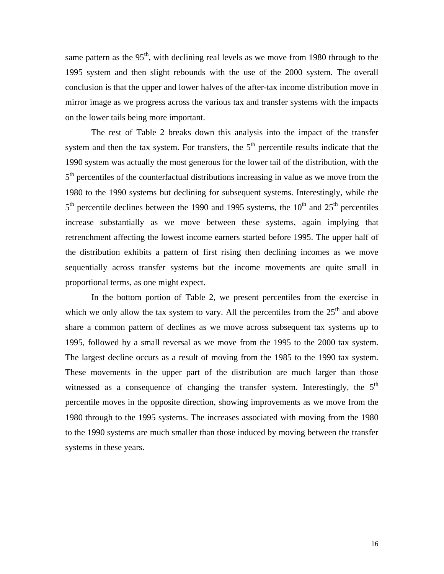same pattern as the  $95<sup>th</sup>$ , with declining real levels as we move from 1980 through to the 1995 system and then slight rebounds with the use of the 2000 system. The overall conclusion is that the upper and lower halves of the after-tax income distribution move in mirror image as we progress across the various tax and transfer systems with the impacts on the lower tails being more important.

The rest of Table 2 breaks down this analysis into the impact of the transfer system and then the tax system. For transfers, the  $5<sup>th</sup>$  percentile results indicate that the 1990 system was actually the most generous for the lower tail of the distribution, with the  $5<sup>th</sup>$  percentiles of the counterfactual distributions increasing in value as we move from the 1980 to the 1990 systems but declining for subsequent systems. Interestingly, while the  $5<sup>th</sup>$  percentile declines between the 1990 and 1995 systems, the 10<sup>th</sup> and 25<sup>th</sup> percentiles increase substantially as we move between these systems, again implying that retrenchment affecting the lowest income earners started before 1995. The upper half of the distribution exhibits a pattern of first rising then declining incomes as we move sequentially across transfer systems but the income movements are quite small in proportional terms, as one might expect.

In the bottom portion of Table 2, we present percentiles from the exercise in which we only allow the tax system to vary. All the percentiles from the  $25<sup>th</sup>$  and above share a common pattern of declines as we move across subsequent tax systems up to 1995, followed by a small reversal as we move from the 1995 to the 2000 tax system. The largest decline occurs as a result of moving from the 1985 to the 1990 tax system. These movements in the upper part of the distribution are much larger than those witnessed as a consequence of changing the transfer system. Interestingly, the  $5<sup>th</sup>$ percentile moves in the opposite direction, showing improvements as we move from the 1980 through to the 1995 systems. The increases associated with moving from the 1980 to the 1990 systems are much smaller than those induced by moving between the transfer systems in these years.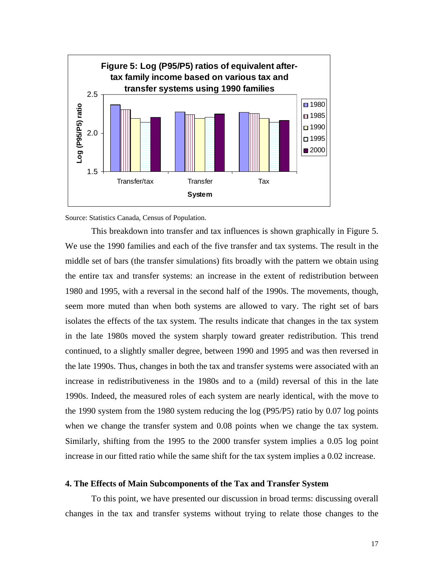

Source: Statistics Canada, Census of Population.

This breakdown into transfer and tax influences is shown graphically in Figure 5. We use the 1990 families and each of the five transfer and tax systems. The result in the middle set of bars (the transfer simulations) fits broadly with the pattern we obtain using the entire tax and transfer systems: an increase in the extent of redistribution between 1980 and 1995, with a reversal in the second half of the 1990s. The movements, though, seem more muted than when both systems are allowed to vary. The right set of bars isolates the effects of the tax system. The results indicate that changes in the tax system in the late 1980s moved the system sharply toward greater redistribution. This trend continued, to a slightly smaller degree, between 1990 and 1995 and was then reversed in the late 1990s. Thus, changes in both the tax and transfer systems were associated with an increase in redistributiveness in the 1980s and to a (mild) reversal of this in the late 1990s. Indeed, the measured roles of each system are nearly identical, with the move to the 1990 system from the 1980 system reducing the log (P95/P5) ratio by 0.07 log points when we change the transfer system and 0.08 points when we change the tax system. Similarly, shifting from the 1995 to the 2000 transfer system implies a 0.05 log point increase in our fitted ratio while the same shift for the tax system implies a 0.02 increase.

#### **4. The Effects of Main Subcomponents of the Tax and Transfer System**

To this point, we have presented our discussion in broad terms: discussing overall changes in the tax and transfer systems without trying to relate those changes to the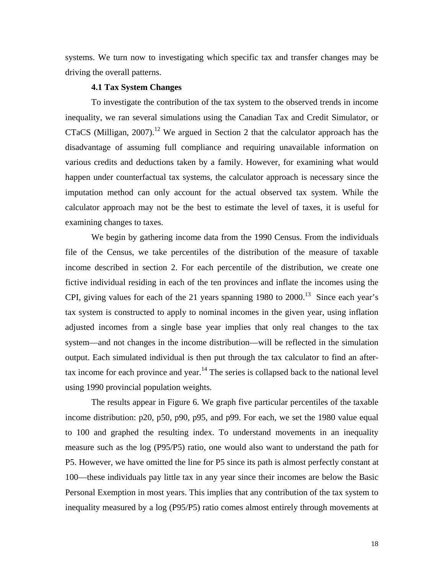systems. We turn now to investigating which specific tax and transfer changes may be driving the overall patterns.

## **4.1 Tax System Changes**

To investigate the contribution of the tax system to the observed trends in income inequality, we ran several simulations using the Canadian Tax and Credit Simulator, or CTaCS (Milligan, 2007).<sup>12</sup> We argued in Section 2 that the calculator approach has the disadvantage of assuming full compliance and requiring unavailable information on various credits and deductions taken by a family. However, for examining what would happen under counterfactual tax systems, the calculator approach is necessary since the imputation method can only account for the actual observed tax system. While the calculator approach may not be the best to estimate the level of taxes, it is useful for examining changes to taxes.

We begin by gathering income data from the 1990 Census. From the individuals file of the Census, we take percentiles of the distribution of the measure of taxable income described in section 2. For each percentile of the distribution, we create one fictive individual residing in each of the ten provinces and inflate the incomes using the CPI, giving values for each of the 21 years spanning 1980 to  $2000$ .<sup>13</sup> Since each year's tax system is constructed to apply to nominal incomes in the given year, using inflation adjusted incomes from a single base year implies that only real changes to the tax system—and not changes in the income distribution—will be reflected in the simulation output. Each simulated individual is then put through the tax calculator to find an aftertax income for each province and year.<sup>14</sup> The series is collapsed back to the national level using 1990 provincial population weights.

 The results appear in Figure 6. We graph five particular percentiles of the taxable income distribution: p20, p50, p90, p95, and p99. For each, we set the 1980 value equal to 100 and graphed the resulting index. To understand movements in an inequality measure such as the log (P95/P5) ratio, one would also want to understand the path for P5. However, we have omitted the line for P5 since its path is almost perfectly constant at 100—these individuals pay little tax in any year since their incomes are below the Basic Personal Exemption in most years. This implies that any contribution of the tax system to inequality measured by a log (P95/P5) ratio comes almost entirely through movements at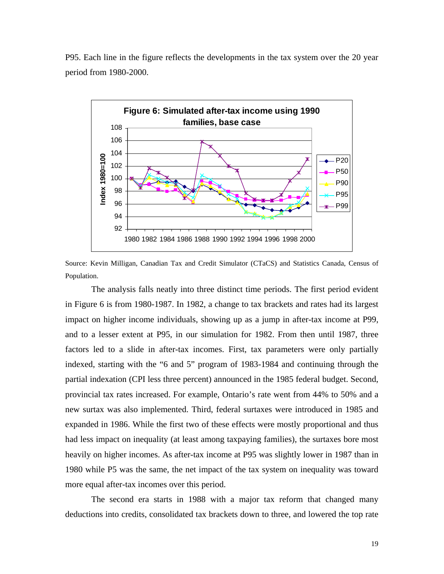P95. Each line in the figure reflects the developments in the tax system over the 20 year period from 1980-2000.



Source: Kevin Milligan, Canadian Tax and Credit Simulator (CTaCS) and Statistics Canada, Census of Population.

The analysis falls neatly into three distinct time periods. The first period evident in Figure 6 is from 1980-1987. In 1982, a change to tax brackets and rates had its largest impact on higher income individuals, showing up as a jump in after-tax income at P99, and to a lesser extent at P95, in our simulation for 1982. From then until 1987, three factors led to a slide in after-tax incomes. First, tax parameters were only partially indexed, starting with the "6 and 5" program of 1983-1984 and continuing through the partial indexation (CPI less three percent) announced in the 1985 federal budget. Second, provincial tax rates increased. For example, Ontario's rate went from 44% to 50% and a new surtax was also implemented. Third, federal surtaxes were introduced in 1985 and expanded in 1986. While the first two of these effects were mostly proportional and thus had less impact on inequality (at least among taxpaying families), the surtaxes bore most heavily on higher incomes. As after-tax income at P95 was slightly lower in 1987 than in 1980 while P5 was the same, the net impact of the tax system on inequality was toward more equal after-tax incomes over this period.

 The second era starts in 1988 with a major tax reform that changed many deductions into credits, consolidated tax brackets down to three, and lowered the top rate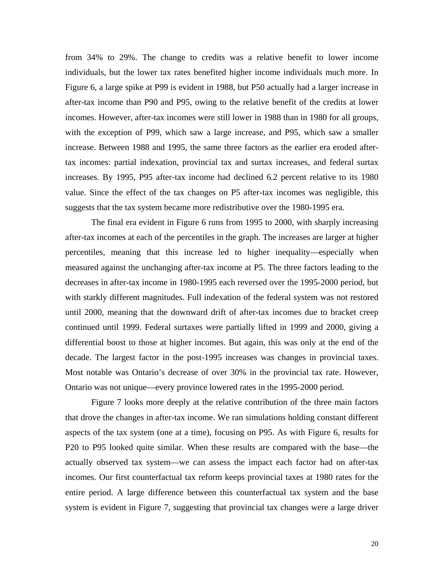from 34% to 29%. The change to credits was a relative benefit to lower income individuals, but the lower tax rates benefited higher income individuals much more. In Figure 6, a large spike at P99 is evident in 1988, but P50 actually had a larger increase in after-tax income than P90 and P95, owing to the relative benefit of the credits at lower incomes. However, after-tax incomes were still lower in 1988 than in 1980 for all groups, with the exception of P99, which saw a large increase, and P95, which saw a smaller increase. Between 1988 and 1995, the same three factors as the earlier era eroded aftertax incomes: partial indexation, provincial tax and surtax increases, and federal surtax increases. By 1995, P95 after-tax income had declined 6.2 percent relative to its 1980 value. Since the effect of the tax changes on P5 after-tax incomes was negligible, this suggests that the tax system became more redistributive over the 1980-1995 era.

 The final era evident in Figure 6 runs from 1995 to 2000, with sharply increasing after-tax incomes at each of the percentiles in the graph. The increases are larger at higher percentiles, meaning that this increase led to higher inequality—especially when measured against the unchanging after-tax income at P5. The three factors leading to the decreases in after-tax income in 1980-1995 each reversed over the 1995-2000 period, but with starkly different magnitudes. Full indexation of the federal system was not restored until 2000, meaning that the downward drift of after-tax incomes due to bracket creep continued until 1999. Federal surtaxes were partially lifted in 1999 and 2000, giving a differential boost to those at higher incomes. But again, this was only at the end of the decade. The largest factor in the post-1995 increases was changes in provincial taxes. Most notable was Ontario's decrease of over 30% in the provincial tax rate. However, Ontario was not unique—every province lowered rates in the 1995-2000 period.

 Figure 7 looks more deeply at the relative contribution of the three main factors that drove the changes in after-tax income. We ran simulations holding constant different aspects of the tax system (one at a time), focusing on P95. As with Figure 6, results for P20 to P95 looked quite similar. When these results are compared with the base—the actually observed tax system—we can assess the impact each factor had on after-tax incomes. Our first counterfactual tax reform keeps provincial taxes at 1980 rates for the entire period. A large difference between this counterfactual tax system and the base system is evident in Figure 7, suggesting that provincial tax changes were a large driver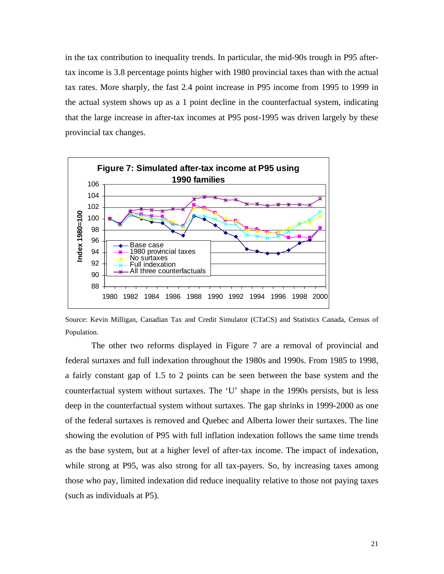in the tax contribution to inequality trends. In particular, the mid-90s trough in P95 aftertax income is 3.8 percentage points higher with 1980 provincial taxes than with the actual tax rates. More sharply, the fast 2.4 point increase in P95 income from 1995 to 1999 in the actual system shows up as a 1 point decline in the counterfactual system, indicating that the large increase in after-tax incomes at P95 post-1995 was driven largely by these provincial tax changes.



Source: Kevin Milligan, Canadian Tax and Credit Simulator (CTaCS) and Statistics Canada, Census of Population.

 The other two reforms displayed in Figure 7 are a removal of provincial and federal surtaxes and full indexation throughout the 1980s and 1990s. From 1985 to 1998, a fairly constant gap of 1.5 to 2 points can be seen between the base system and the counterfactual system without surtaxes. The 'U' shape in the 1990s persists, but is less deep in the counterfactual system without surtaxes. The gap shrinks in 1999-2000 as one of the federal surtaxes is removed and Quebec and Alberta lower their surtaxes. The line showing the evolution of P95 with full inflation indexation follows the same time trends as the base system, but at a higher level of after-tax income. The impact of indexation, while strong at P95, was also strong for all tax-payers. So, by increasing taxes among those who pay, limited indexation did reduce inequality relative to those not paying taxes (such as individuals at P5).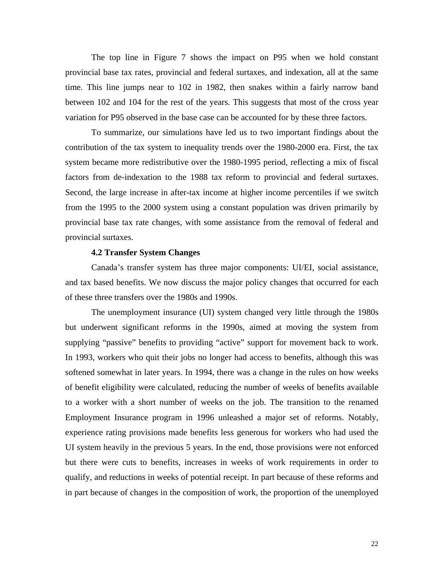The top line in Figure 7 shows the impact on P95 when we hold constant provincial base tax rates, provincial and federal surtaxes, and indexation, all at the same time. This line jumps near to 102 in 1982, then snakes within a fairly narrow band between 102 and 104 for the rest of the years. This suggests that most of the cross year variation for P95 observed in the base case can be accounted for by these three factors.

 To summarize, our simulations have led us to two important findings about the contribution of the tax system to inequality trends over the 1980-2000 era. First, the tax system became more redistributive over the 1980-1995 period, reflecting a mix of fiscal factors from de-indexation to the 1988 tax reform to provincial and federal surtaxes. Second, the large increase in after-tax income at higher income percentiles if we switch from the 1995 to the 2000 system using a constant population was driven primarily by provincial base tax rate changes, with some assistance from the removal of federal and provincial surtaxes.

## **4.2 Transfer System Changes**

 Canada's transfer system has three major components: UI/EI, social assistance, and tax based benefits. We now discuss the major policy changes that occurred for each of these three transfers over the 1980s and 1990s.

The unemployment insurance (UI) system changed very little through the 1980s but underwent significant reforms in the 1990s, aimed at moving the system from supplying "passive" benefits to providing "active" support for movement back to work. In 1993, workers who quit their jobs no longer had access to benefits, although this was softened somewhat in later years. In 1994, there was a change in the rules on how weeks of benefit eligibility were calculated, reducing the number of weeks of benefits available to a worker with a short number of weeks on the job. The transition to the renamed Employment Insurance program in 1996 unleashed a major set of reforms. Notably, experience rating provisions made benefits less generous for workers who had used the UI system heavily in the previous 5 years. In the end, those provisions were not enforced but there were cuts to benefits, increases in weeks of work requirements in order to qualify, and reductions in weeks of potential receipt. In part because of these reforms and in part because of changes in the composition of work, the proportion of the unemployed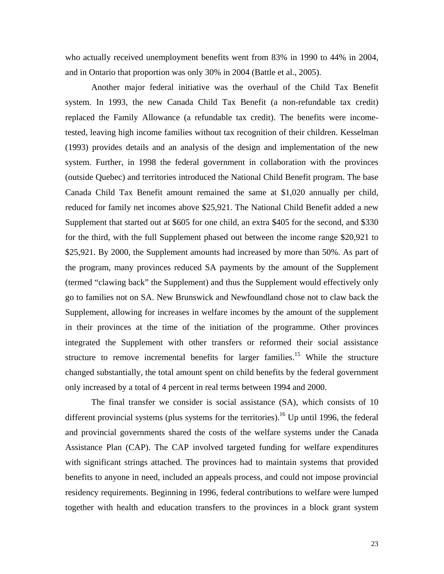who actually received unemployment benefits went from 83% in 1990 to 44% in 2004, and in Ontario that proportion was only 30% in 2004 (Battle et al., 2005).

Another major federal initiative was the overhaul of the Child Tax Benefit system. In 1993, the new Canada Child Tax Benefit (a non-refundable tax credit) replaced the Family Allowance (a refundable tax credit). The benefits were incometested, leaving high income families without tax recognition of their children. Kesselman (1993) provides details and an analysis of the design and implementation of the new system. Further, in 1998 the federal government in collaboration with the provinces (outside Quebec) and territories introduced the National Child Benefit program. The base Canada Child Tax Benefit amount remained the same at \$1,020 annually per child, reduced for family net incomes above \$25,921. The National Child Benefit added a new Supplement that started out at \$605 for one child, an extra \$405 for the second, and \$330 for the third, with the full Supplement phased out between the income range \$20,921 to \$25,921. By 2000, the Supplement amounts had increased by more than 50%. As part of the program, many provinces reduced SA payments by the amount of the Supplement (termed "clawing back" the Supplement) and thus the Supplement would effectively only go to families not on SA. New Brunswick and Newfoundland chose not to claw back the Supplement, allowing for increases in welfare incomes by the amount of the supplement in their provinces at the time of the initiation of the programme. Other provinces integrated the Supplement with other transfers or reformed their social assistance structure to remove incremental benefits for larger families.<sup>15</sup> While the structure changed substantially, the total amount spent on child benefits by the federal government only increased by a total of 4 percent in real terms between 1994 and 2000.

The final transfer we consider is social assistance (SA), which consists of 10 different provincial systems (plus systems for the territories).<sup>16</sup> Up until 1996, the federal and provincial governments shared the costs of the welfare systems under the Canada Assistance Plan (CAP). The CAP involved targeted funding for welfare expenditures with significant strings attached. The provinces had to maintain systems that provided benefits to anyone in need, included an appeals process, and could not impose provincial residency requirements. Beginning in 1996, federal contributions to welfare were lumped together with health and education transfers to the provinces in a block grant system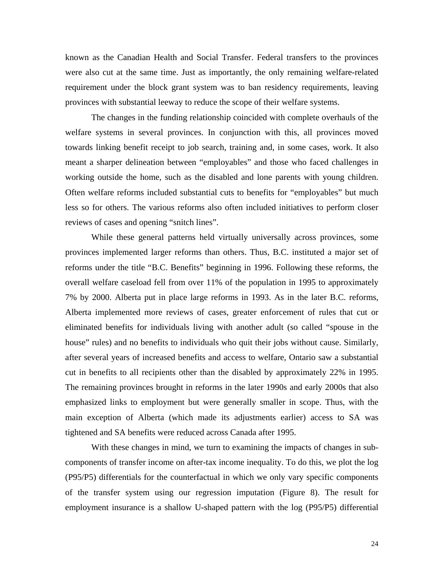known as the Canadian Health and Social Transfer. Federal transfers to the provinces were also cut at the same time. Just as importantly, the only remaining welfare-related requirement under the block grant system was to ban residency requirements, leaving provinces with substantial leeway to reduce the scope of their welfare systems.

 The changes in the funding relationship coincided with complete overhauls of the welfare systems in several provinces. In conjunction with this, all provinces moved towards linking benefit receipt to job search, training and, in some cases, work. It also meant a sharper delineation between "employables" and those who faced challenges in working outside the home, such as the disabled and lone parents with young children. Often welfare reforms included substantial cuts to benefits for "employables" but much less so for others. The various reforms also often included initiatives to perform closer reviews of cases and opening "snitch lines".

 While these general patterns held virtually universally across provinces, some provinces implemented larger reforms than others. Thus, B.C. instituted a major set of reforms under the title "B.C. Benefits" beginning in 1996. Following these reforms, the overall welfare caseload fell from over 11% of the population in 1995 to approximately 7% by 2000. Alberta put in place large reforms in 1993. As in the later B.C. reforms, Alberta implemented more reviews of cases, greater enforcement of rules that cut or eliminated benefits for individuals living with another adult (so called "spouse in the house" rules) and no benefits to individuals who quit their jobs without cause. Similarly, after several years of increased benefits and access to welfare, Ontario saw a substantial cut in benefits to all recipients other than the disabled by approximately 22% in 1995. The remaining provinces brought in reforms in the later 1990s and early 2000s that also emphasized links to employment but were generally smaller in scope. Thus, with the main exception of Alberta (which made its adjustments earlier) access to SA was tightened and SA benefits were reduced across Canada after 1995.

With these changes in mind, we turn to examining the impacts of changes in subcomponents of transfer income on after-tax income inequality. To do this, we plot the log (P95/P5) differentials for the counterfactual in which we only vary specific components of the transfer system using our regression imputation (Figure 8). The result for employment insurance is a shallow U-shaped pattern with the log (P95/P5) differential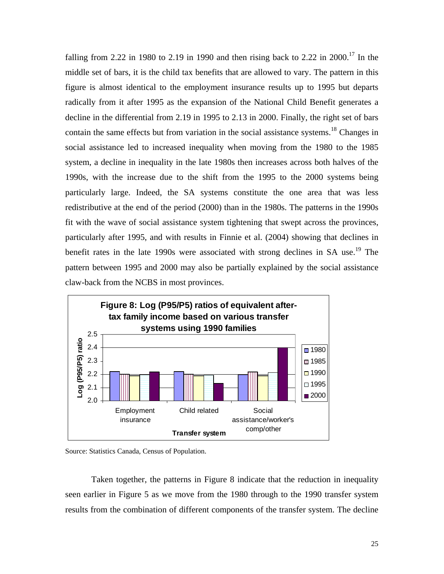falling from 2.22 in 1980 to 2.19 in 1990 and then rising back to 2.22 in 2000.<sup>17</sup> In the middle set of bars, it is the child tax benefits that are allowed to vary. The pattern in this figure is almost identical to the employment insurance results up to 1995 but departs radically from it after 1995 as the expansion of the National Child Benefit generates a decline in the differential from 2.19 in 1995 to 2.13 in 2000. Finally, the right set of bars contain the same effects but from variation in the social assistance systems.<sup>18</sup> Changes in social assistance led to increased inequality when moving from the 1980 to the 1985 system, a decline in inequality in the late 1980s then increases across both halves of the 1990s, with the increase due to the shift from the 1995 to the 2000 systems being particularly large. Indeed, the SA systems constitute the one area that was less redistributive at the end of the period (2000) than in the 1980s. The patterns in the 1990s fit with the wave of social assistance system tightening that swept across the provinces, particularly after 1995, and with results in Finnie et al. (2004) showing that declines in benefit rates in the late 1990s were associated with strong declines in SA use.<sup>19</sup> The pattern between 1995 and 2000 may also be partially explained by the social assistance claw-back from the NCBS in most provinces.



Source: Statistics Canada, Census of Population.

 Taken together, the patterns in Figure 8 indicate that the reduction in inequality seen earlier in Figure 5 as we move from the 1980 through to the 1990 transfer system results from the combination of different components of the transfer system. The decline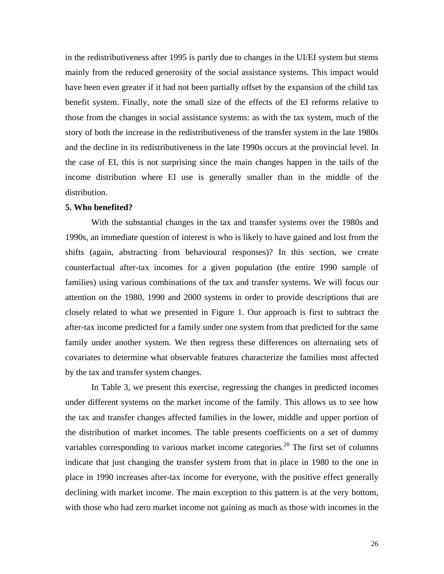in the redistributiveness after 1995 is partly due to changes in the UI/EI system but stems mainly from the reduced generosity of the social assistance systems. This impact would have been even greater if it had not been partially offset by the expansion of the child tax benefit system. Finally, note the small size of the effects of the EI reforms relative to those from the changes in social assistance systems: as with the tax system, much of the story of both the increase in the redistributiveness of the transfer system in the late 1980s and the decline in its redistributiveness in the late 1990s occurs at the provincial level. In the case of EI, this is not surprising since the main changes happen in the tails of the income distribution where EI use is generally smaller than in the middle of the distribution.

# **5. Who benefited?**

With the substantial changes in the tax and transfer systems over the 1980s and 1990s, an immediate question of interest is who is likely to have gained and lost from the shifts (again, abstracting from behavioural responses)? In this section, we create counterfactual after-tax incomes for a given population (the entire 1990 sample of families) using various combinations of the tax and transfer systems. We will focus our attention on the 1980, 1990 and 2000 systems in order to provide descriptions that are closely related to what we presented in Figure 1. Our approach is first to subtract the after-tax income predicted for a family under one system from that predicted for the same family under another system. We then regress these differences on alternating sets of covariates to determine what observable features characterize the families most affected by the tax and transfer system changes.

 In Table 3, we present this exercise, regressing the changes in predicted incomes under different systems on the market income of the family. This allows us to see how the tax and transfer changes affected families in the lower, middle and upper portion of the distribution of market incomes. The table presents coefficients on a set of dummy variables corresponding to various market income categories.<sup>20</sup> The first set of columns indicate that just changing the transfer system from that in place in 1980 to the one in place in 1990 increases after-tax income for everyone, with the positive effect generally declining with market income. The main exception to this pattern is at the very bottom, with those who had zero market income not gaining as much as those with incomes in the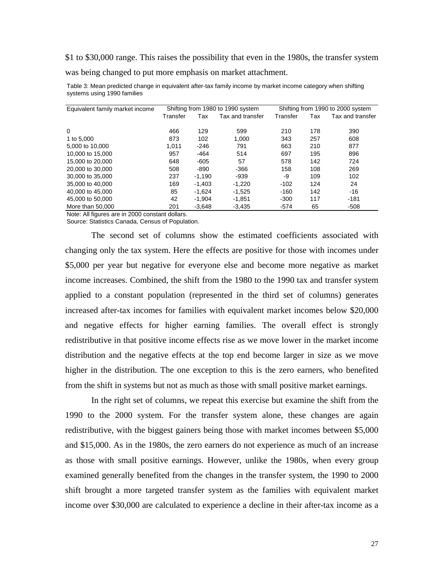\$1 to \$30,000 range. This raises the possibility that even in the 1980s, the transfer system was being changed to put more emphasis on market attachment.

| Equivalent family market income | Shifting from 1980 to 1990 system |          |                  | Shifting from 1990 to 2000 system |     |                  |
|---------------------------------|-----------------------------------|----------|------------------|-----------------------------------|-----|------------------|
|                                 | Transfer                          | Tax      | Tax and transfer | Transfer                          | Tax | Tax and transfer |
|                                 |                                   |          |                  |                                   |     |                  |
| $\Omega$                        | 466                               | 129      | 599              | 210                               | 178 | 390              |
| 1 to 5,000                      | 873                               | 102      | 1.000            | 343                               | 257 | 608              |
| 5,000 to 10,000                 | 1.011                             | $-246$   | 791              | 663                               | 210 | 877              |
| 10,000 to 15,000                | 957                               | $-464$   | 514              | 697                               | 195 | 896              |
| 15,000 to 20,000                | 648                               | $-605$   | 57               | 578                               | 142 | 724              |
| 20,000 to 30,000                | 508                               | -890     | $-366$           | 158                               | 108 | 269              |
| 30,000 to 35,000                | 237                               | $-1.190$ | -939             | -9                                | 109 | 102              |
| 35,000 to 40,000                | 169                               | $-1.403$ | $-1.220$         | $-102$                            | 124 | 24               |
| 40,000 to 45,000                | 85                                | $-1.624$ | $-1.525$         | $-160$                            | 142 | -16              |
| 45,000 to 50,000                | 42                                | $-1.904$ | $-1.851$         | $-300$                            | 117 | $-181$           |
| More than 50,000                | 201                               | $-3.648$ | $-3.435$         | $-574$                            | 65  | $-508$           |

Table 3: Mean predicted change in equivalent after-tax family income by market income category when shifting systems using 1990 families

Note: All figures are in 2000 constant dollars.

Source: Statistics Canada, Census of Population.

The second set of columns show the estimated coefficients associated with changing only the tax system. Here the effects are positive for those with incomes under \$5,000 per year but negative for everyone else and become more negative as market income increases. Combined, the shift from the 1980 to the 1990 tax and transfer system applied to a constant population (represented in the third set of columns) generates increased after-tax incomes for families with equivalent market incomes below \$20,000 and negative effects for higher earning families. The overall effect is strongly redistributive in that positive income effects rise as we move lower in the market income distribution and the negative effects at the top end become larger in size as we move higher in the distribution. The one exception to this is the zero earners, who benefited from the shift in systems but not as much as those with small positive market earnings.

 In the right set of columns, we repeat this exercise but examine the shift from the 1990 to the 2000 system. For the transfer system alone, these changes are again redistributive, with the biggest gainers being those with market incomes between \$5,000 and \$15,000. As in the 1980s, the zero earners do not experience as much of an increase as those with small positive earnings. However, unlike the 1980s, when every group examined generally benefited from the changes in the transfer system, the 1990 to 2000 shift brought a more targeted transfer system as the families with equivalent market income over \$30,000 are calculated to experience a decline in their after-tax income as a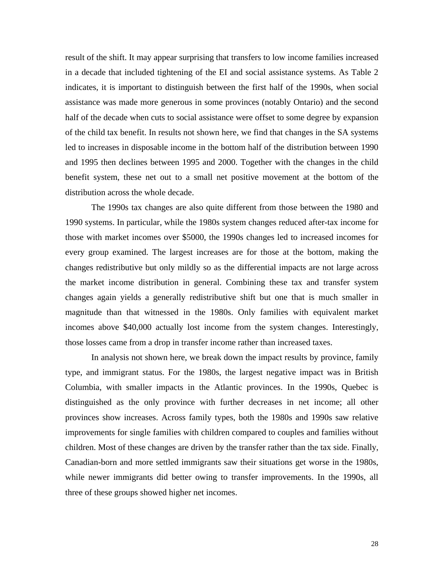result of the shift. It may appear surprising that transfers to low income families increased in a decade that included tightening of the EI and social assistance systems. As Table 2 indicates, it is important to distinguish between the first half of the 1990s, when social assistance was made more generous in some provinces (notably Ontario) and the second half of the decade when cuts to social assistance were offset to some degree by expansion of the child tax benefit. In results not shown here, we find that changes in the SA systems led to increases in disposable income in the bottom half of the distribution between 1990 and 1995 then declines between 1995 and 2000. Together with the changes in the child benefit system, these net out to a small net positive movement at the bottom of the distribution across the whole decade.

 The 1990s tax changes are also quite different from those between the 1980 and 1990 systems. In particular, while the 1980s system changes reduced after-tax income for those with market incomes over \$5000, the 1990s changes led to increased incomes for every group examined. The largest increases are for those at the bottom, making the changes redistributive but only mildly so as the differential impacts are not large across the market income distribution in general. Combining these tax and transfer system changes again yields a generally redistributive shift but one that is much smaller in magnitude than that witnessed in the 1980s. Only families with equivalent market incomes above \$40,000 actually lost income from the system changes. Interestingly, those losses came from a drop in transfer income rather than increased taxes.

In analysis not shown here, we break down the impact results by province, family type, and immigrant status. For the 1980s, the largest negative impact was in British Columbia, with smaller impacts in the Atlantic provinces. In the 1990s, Quebec is distinguished as the only province with further decreases in net income; all other provinces show increases. Across family types, both the 1980s and 1990s saw relative improvements for single families with children compared to couples and families without children. Most of these changes are driven by the transfer rather than the tax side. Finally, Canadian-born and more settled immigrants saw their situations get worse in the 1980s, while newer immigrants did better owing to transfer improvements. In the 1990s, all three of these groups showed higher net incomes.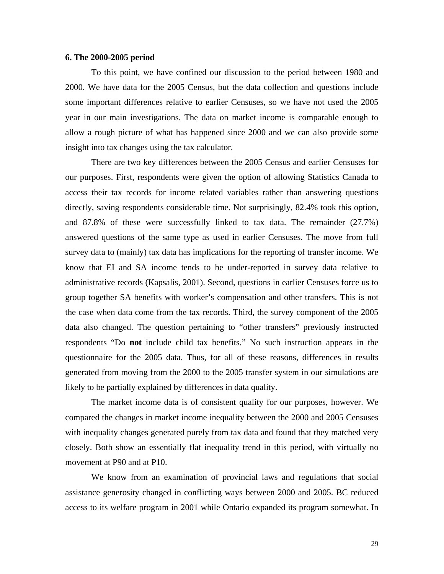## **6. The 2000-2005 period**

 To this point, we have confined our discussion to the period between 1980 and 2000. We have data for the 2005 Census, but the data collection and questions include some important differences relative to earlier Censuses, so we have not used the 2005 year in our main investigations. The data on market income is comparable enough to allow a rough picture of what has happened since 2000 and we can also provide some insight into tax changes using the tax calculator.

 There are two key differences between the 2005 Census and earlier Censuses for our purposes. First, respondents were given the option of allowing Statistics Canada to access their tax records for income related variables rather than answering questions directly, saving respondents considerable time. Not surprisingly, 82.4% took this option, and 87.8% of these were successfully linked to tax data. The remainder (27.7%) answered questions of the same type as used in earlier Censuses. The move from full survey data to (mainly) tax data has implications for the reporting of transfer income. We know that EI and SA income tends to be under-reported in survey data relative to administrative records (Kapsalis, 2001). Second, questions in earlier Censuses force us to group together SA benefits with worker's compensation and other transfers. This is not the case when data come from the tax records. Third, the survey component of the 2005 data also changed. The question pertaining to "other transfers" previously instructed respondents "Do **not** include child tax benefits." No such instruction appears in the questionnaire for the 2005 data. Thus, for all of these reasons, differences in results generated from moving from the 2000 to the 2005 transfer system in our simulations are likely to be partially explained by differences in data quality.

 The market income data is of consistent quality for our purposes, however. We compared the changes in market income inequality between the 2000 and 2005 Censuses with inequality changes generated purely from tax data and found that they matched very closely. Both show an essentially flat inequality trend in this period, with virtually no movement at P90 and at P10.

 We know from an examination of provincial laws and regulations that social assistance generosity changed in conflicting ways between 2000 and 2005. BC reduced access to its welfare program in 2001 while Ontario expanded its program somewhat. In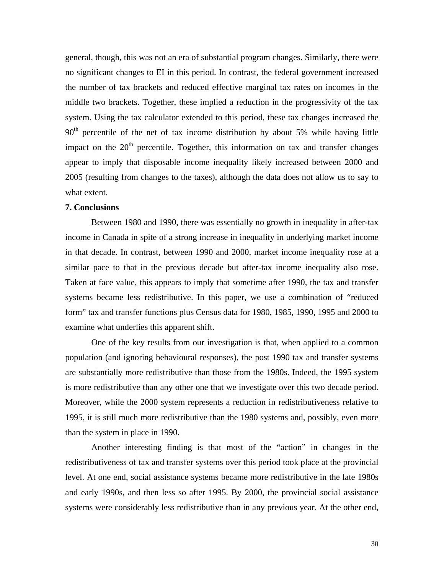general, though, this was not an era of substantial program changes. Similarly, there were no significant changes to EI in this period. In contrast, the federal government increased the number of tax brackets and reduced effective marginal tax rates on incomes in the middle two brackets. Together, these implied a reduction in the progressivity of the tax system. Using the tax calculator extended to this period, these tax changes increased the  $90<sup>th</sup>$  percentile of the net of tax income distribution by about 5% while having little impact on the  $20<sup>th</sup>$  percentile. Together, this information on tax and transfer changes appear to imply that disposable income inequality likely increased between 2000 and 2005 (resulting from changes to the taxes), although the data does not allow us to say to what extent.

# **7. Conclusions**

Between 1980 and 1990, there was essentially no growth in inequality in after-tax income in Canada in spite of a strong increase in inequality in underlying market income in that decade. In contrast, between 1990 and 2000, market income inequality rose at a similar pace to that in the previous decade but after-tax income inequality also rose. Taken at face value, this appears to imply that sometime after 1990, the tax and transfer systems became less redistributive. In this paper, we use a combination of "reduced form" tax and transfer functions plus Census data for 1980, 1985, 1990, 1995 and 2000 to examine what underlies this apparent shift.

 One of the key results from our investigation is that, when applied to a common population (and ignoring behavioural responses), the post 1990 tax and transfer systems are substantially more redistributive than those from the 1980s. Indeed, the 1995 system is more redistributive than any other one that we investigate over this two decade period. Moreover, while the 2000 system represents a reduction in redistributiveness relative to 1995, it is still much more redistributive than the 1980 systems and, possibly, even more than the system in place in 1990.

 Another interesting finding is that most of the "action" in changes in the redistributiveness of tax and transfer systems over this period took place at the provincial level. At one end, social assistance systems became more redistributive in the late 1980s and early 1990s, and then less so after 1995. By 2000, the provincial social assistance systems were considerably less redistributive than in any previous year. At the other end,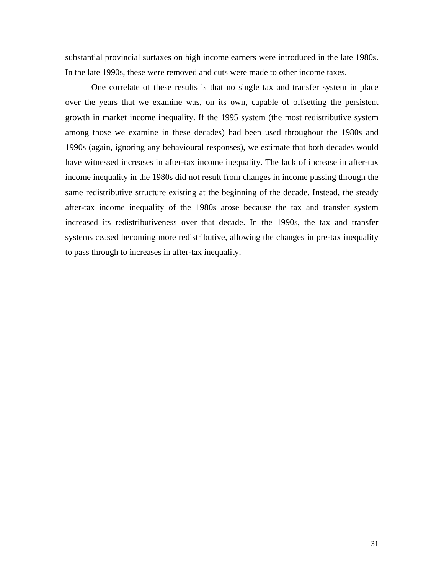substantial provincial surtaxes on high income earners were introduced in the late 1980s. In the late 1990s, these were removed and cuts were made to other income taxes.

 One correlate of these results is that no single tax and transfer system in place over the years that we examine was, on its own, capable of offsetting the persistent growth in market income inequality. If the 1995 system (the most redistributive system among those we examine in these decades) had been used throughout the 1980s and 1990s (again, ignoring any behavioural responses), we estimate that both decades would have witnessed increases in after-tax income inequality. The lack of increase in after-tax income inequality in the 1980s did not result from changes in income passing through the same redistributive structure existing at the beginning of the decade. Instead, the steady after-tax income inequality of the 1980s arose because the tax and transfer system increased its redistributiveness over that decade. In the 1990s, the tax and transfer systems ceased becoming more redistributive, allowing the changes in pre-tax inequality to pass through to increases in after-tax inequality.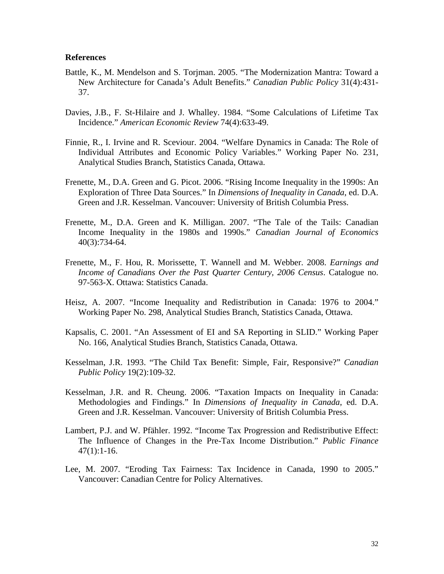## **References**

- Battle, K., M. Mendelson and S. Torjman. 2005. "The Modernization Mantra: Toward a New Architecture for Canada's Adult Benefits." *Canadian Public Policy* 31(4):431- 37.
- Davies, J.B., F. St-Hilaire and J. Whalley. 1984. "Some Calculations of Lifetime Tax Incidence." *American Economic Review* 74(4):633-49.
- Finnie, R., I. Irvine and R. Sceviour. 2004. "Welfare Dynamics in Canada: The Role of Individual Attributes and Economic Policy Variables." Working Paper No. 231, Analytical Studies Branch, Statistics Canada, Ottawa.
- Frenette, M., D.A. Green and G. Picot. 2006. "Rising Income Inequality in the 1990s: An Exploration of Three Data Sources." In *Dimensions of Inequality in Canada*, ed. D.A. Green and J.R. Kesselman. Vancouver: University of British Columbia Press.
- Frenette, M., D.A. Green and K. Milligan. 2007. "The Tale of the Tails: Canadian Income Inequality in the 1980s and 1990s." *Canadian Journal of Economics* 40(3):734-64.
- Frenette, M., F. Hou, R. Morissette, T. Wannell and M. Webber. 2008. *Earnings and Income of Canadians Over the Past Quarter Century, 2006 Census*. Catalogue no. 97-563-X. Ottawa: Statistics Canada.
- Heisz, A. 2007. "Income Inequality and Redistribution in Canada: 1976 to 2004." Working Paper No. 298, Analytical Studies Branch, Statistics Canada, Ottawa.
- Kapsalis, C. 2001. "An Assessment of EI and SA Reporting in SLID." Working Paper No. 166, Analytical Studies Branch, Statistics Canada, Ottawa.
- Kesselman, J.R. 1993. "The Child Tax Benefit: Simple, Fair, Responsive?" *Canadian Public Policy* 19(2):109-32.
- Kesselman, J.R. and R. Cheung. 2006. "Taxation Impacts on Inequality in Canada: Methodologies and Findings." In *Dimensions of Inequality in Canada*, ed. D.A. Green and J.R. Kesselman. Vancouver: University of British Columbia Press.
- Lambert, P.J. and W. Pfähler. 1992. "Income Tax Progression and Redistributive Effect: The Influence of Changes in the Pre-Tax Income Distribution." *Public Finance* 47(1):1-16.
- Lee, M. 2007. "Eroding Tax Fairness: Tax Incidence in Canada, 1990 to 2005." Vancouver: Canadian Centre for Policy Alternatives.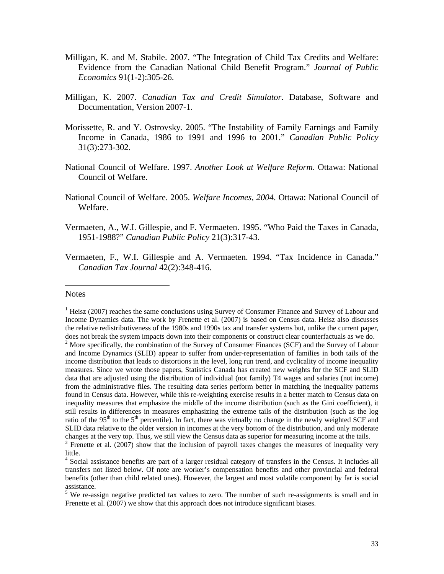- Milligan, K. and M. Stabile. 2007. "The Integration of Child Tax Credits and Welfare: Evidence from the Canadian National Child Benefit Program." *Journal of Public Economics* 91(1-2):305-26.
- Milligan, K. 2007. *Canadian Tax and Credit Simulator*. Database, Software and Documentation, Version 2007-1.
- Morissette, R. and Y. Ostrovsky. 2005. "The Instability of Family Earnings and Family Income in Canada, 1986 to 1991 and 1996 to 2001." *Canadian Public Policy* 31(3):273-302.
- National Council of Welfare. 1997. *Another Look at Welfare Reform*. Ottawa: National Council of Welfare.
- National Council of Welfare. 2005. *Welfare Incomes, 2004*. Ottawa: National Council of Welfare.
- Vermaeten, A., W.I. Gillespie, and F. Vermaeten. 1995. "Who Paid the Taxes in Canada, 1951-1988?" *Canadian Public Policy* 21(3):317-43.
- Vermaeten, F., W.I. Gillespie and A. Vermaeten. 1994. "Tax Incidence in Canada." *Canadian Tax Journal* 42(2):348-416.

#### **Notes**

1

<sup>&</sup>lt;sup>1</sup> Heisz (2007) reaches the same conclusions using Survey of Consumer Finance and Survey of Labour and Income Dynamics data. The work by Frenette et al. (2007) is based on Census data. Heisz also discusses the relative redistributiveness of the 1980s and 1990s tax and transfer systems but, unlike the current paper, does not break the system impacts down into their components or construct clear counterfactuals as we do.  $2^2$  More specifically, the combination of the Survey of Consumer Finances (SCF) and the Survey of Labour and Income Dynamics (SLID) appear to suffer from under-representation of families in both tails of the income distribution that leads to distortions in the level, long run trend, and cyclicality of income inequality measures. Since we wrote those papers, Statistics Canada has created new weights for the SCF and SLID data that are adjusted using the distribution of individual (not family) T4 wages and salaries (not income) from the administrative files. The resulting data series perform better in matching the inequality patterns found in Census data. However, while this re-weighting exercise results in a better match to Census data on inequality measures that emphasize the middle of the income distribution (such as the Gini coefficient), it still results in differences in measures emphasizing the extreme tails of the distribution (such as the log ratio of the 95<sup>th</sup> to the 5<sup>th</sup> percentile). In fact, there was virtually no change in the newly weighted SCF and SLID data relative to the older version in incomes at the very bottom of the distribution, and only moderate changes at the very top. Thus, we still view the Census data as superior for measuring income at the tails. 3

 $3$  Frenette et al. (2007) show that the inclusion of payroll taxes changes the measures of inequality very little.

<sup>&</sup>lt;sup>4</sup> Social assistance benefits are part of a larger residual category of transfers in the Census. It includes all transfers not listed below. Of note are worker's compensation benefits and other provincial and federal benefits (other than child related ones). However, the largest and most volatile component by far is social assistance.

<sup>&</sup>lt;sup>5</sup> We re-assign negative predicted tax values to zero. The number of such re-assignments is small and in Frenette et al. (2007) we show that this approach does not introduce significant biases.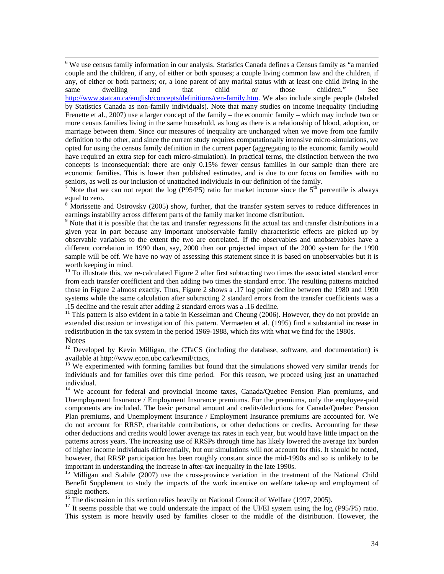6 We use census family information in our analysis. Statistics Canada defines a Census family as "a married couple and the children, if any, of either or both spouses; a couple living common law and the children, if any, of either or both partners; or, a lone parent of any marital status with at least one child living in the same dwelling and that child or those children." See http://www.statcan.ca/english/concepts/definitions/cen-family.htm. We also include single people (labeled by Statistics Canada as non-family individuals). Note that many studies on income inequality (including Frenette et al., 2007) use a larger concept of the family – the economic family – which may include two or more census families living in the same household, as long as there is a relationship of blood, adoption, or marriage between them. Since our measures of inequality are unchanged when we move from one family definition to the other, and since the current study requires computationally intensive micro-simulations, we opted for using the census family definition in the current paper (aggregating to the economic family would have required an extra step for each micro-simulation). In practical terms, the distinction between the two concepts is inconsequential: there are only 0.15% fewer census families in our sample than there are economic families. This is lower than published estimates, and is due to our focus on families with no seniors, as well as our inclusion of unattached individuals in our definition of the family.

<sup>7</sup> Note that we can not report the log (P95/P5) ratio for market income since the  $5<sup>th</sup>$  percentile is always equal to zero.

 $8$  Morissette and Ostrovsky (2005) show, further, that the transfer system serves to reduce differences in earnings instability across different parts of the family market income distribution.

<sup>9</sup> Note that it is possible that the tax and transfer regressions fit the actual tax and transfer distributions in a given year in part because any important unobservable family characteristic effects are picked up by observable variables to the extent the two are correlated. If the observables and unobservables have a different correlation in 1990 than, say, 2000 then our projected impact of the 2000 system for the 1990 sample will be off. We have no way of assessing this statement since it is based on unobservables but it is worth keeping in mind.

<sup>10</sup> To illustrate this, we re-calculated Figure 2 after first subtracting two times the associated standard error from each transfer coefficient and then adding two times the standard error. The resulting patterns matched those in Figure 2 almost exactly. Thus, Figure 2 shows a .17 log point decline between the 1980 and 1990 systems while the same calculation after subtracting 2 standard errors from the transfer coefficients was a .15 decline and the result after adding 2 standard errors was a .16 decline. 11 This pattern is also evident in a table in Kesselman and Cheung (2006). However, they do not provide an

extended discussion or investigation of this pattern. Vermaeten et al. (1995) find a substantial increase in redistribution in the tax system in the period 1969-1988, which fits with what we find for the 1980s.

#### **Notes**

 $12$  Developed by Kevin Milligan, the CTaCS (including the database, software, and documentation) is available at http://www.econ.ubc.ca/kevmil/ctacs,

<sup>13</sup> We experimented with forming families but found that the simulations showed very similar trends for individuals and for families over this time period. For this reason, we proceed using just an unattached individual.

<sup>14</sup> We account for federal and provincial income taxes, Canada/Quebec Pension Plan premiums, and Unemployment Insurance / Employment Insurance premiums. For the premiums, only the employee-paid components are included. The basic personal amount and credits/deductions for Canada/Quebec Pension Plan premiums, and Unemployment Insurance / Employment Insurance premiums are accounted for. We do not account for RRSP, charitable contributions, or other deductions or credits. Accounting for these other deductions and credits would lower average tax rates in each year, but would have little impact on the patterns across years. The increasing use of RRSPs through time has likely lowered the average tax burden of higher income individuals differentially, but our simulations will not account for this. It should be noted, however, that RRSP participation has been roughly constant since the mid-1990s and so is unlikely to be important in understanding the increase in after-tax inequality in the late 1990s.

<sup>15</sup> Milligan and Stabile (2007) use the cross-province variation in the treatment of the National Child Benefit Supplement to study the impacts of the work incentive on welfare take-up and employment of single mothers.

<sup>16</sup> The discussion in this section relies heavily on National Council of Welfare (1997, 2005).

<sup>17</sup> It seems possible that we could understate the impact of the UI/EI system using the log (P95/P5) ratio. This system is more heavily used by families closer to the middle of the distribution. However, the